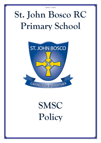## **St. John Bosco RC Primary School**



# **SMSC Policy**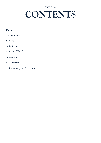### **CONTENTS**

### **Policy**

• Introduction

#### **Sections**

- **1.** Objectives
- **2.** Aims of SMSC
- **3.** Strategies
- **4.** Outcomes
- **5.** Monitoring and Evaluation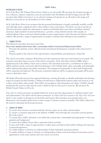#### **INTRODUCTION**

At St. John Bosco RC Primary School, Jesus Christ is our role model. We promote the Gospel messages of love, tolerance, support, forgiveness and care and believe that all children should be happy and safe. We recognise that whilst every person in our school is unique and special, we are all made in the image and likeness of God and we are all members of God's family.

At St. John Bosco School, we recognise that the personal development of pupils, spiritually, morally, socially and culturally, plays a significant part in their ability to learn and achieve. Therefore, we aim to provide an education that gives pupils the opportunity to explore and develop their own values and beliefs, spiritual awareness, high standards of personal behaviour, a positive, caring attitude towards other people, an understanding of their social and cultural traditions and an appreciation of the diversity and richness of their cultures. We provide a range of opportunities for pupils to develop their self-esteem and confidence.

#### **1. OBJECTIVES**

The National curriculum document states that:

#### **Every state funded school must offer a curriculum which is broad and balanced and which:**

- Promotes the spiritual, moral, cultural mental and physical development of pupils at the school and of society,
- Prepares pupils at the school for the opportunities, responsibilities and experiences of later life

The school curriculum comprises all learning and other experiences that each school plans for its pupils. The national curriculum forms one part of the school curriculum. At St. John Bosco School, SMSC plays a significant part in the ability to learn and to achieve. All curriculum areas have a contribution to make to a child's spiritual, moral, social and cultural development. Our Catholic faith, values, principles and spirituality will be explored throughout the whole curriculum. The integrity and spirituality of other faith backgrounds will be respected and explored. The diversity of spiritual traditions will be recognised and pupils will be given access to alternative views.

All adults will model and promote expected behaviour, treating all people as valuable individuals and showing respect for pupils and their families. Children should learn to differentiate between right and wrong in as far as their actions affect other people. They will be encouraged to value themselves and others. Children should understand the need for rules and the need to abide by rules for the good of everyone. We promote the British/Gospel Values in all we do.

Our code of conduct promotes acceptable behaviour and we provide opportunities to celebrate pupils' work and achievements. Our whole school mission statement "*we believe that God is present in the 'day to day' life of our school"* is also evident in all aspects of school life and beyond. All curriculum areas should seek to use illustrations and examples drawn from as wide a range of cultural contexts as possible. This will be reflected in the teacher's planning and learning resources.

#### **2. AIMS OF SMSC**

- To ensure that everyone connected with the school is aware of our values and principles.
- To ensure a consistent approach to the delivery of SMSC issues through the curriculum and the general life of the school.
- To ensure that a child's education is set within the context that is meaningful and appropriate to their age, aptitude and background.
- To ensure that children know what is expected of them and why.
- To give each child a range of opportunities to reflect upon and discuss their beliefs, feelings and responses to personal experience.
- To enable children to develop an understanding of their individual and group identity.
- To enable children to begin to develop an understanding of their social and cultural environment and an appreciation of the many cultures that now enrich our society.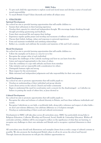- To give each child the opportunity to explore social and moral issues and develop a sense of social and moral responsibility
- To teach British/Gospel Values discreetly and within all subject areas

#### **3. STRATEGIES**

#### **Spiritual Development**

As a school we aim to provide learning opportunities that will enable children to:

- Sustain their self-esteem in their learning experience
- Develop their capacity for critical and independent thought. We encourage deeper thinking through thought provoking questioning and feedback.
- Foster their emotional life and express their feelings
- Experience regular quality prayer and worship and moments of stillness and reflection
- Discuss their beliefs, feelings, values and responses to personal experiences
- Form and maintain worthwhile and satisfying relationships
- Reflect on, consider and celebrate the wonders and mysteries of life and God's creation

#### **Moral Development**

As a school we aim to provide learning opportunities that will enable children to:

- Follow the examples set by Jesus as a way for us to live
- Recognise the unique value of each individual
- Recognise the challenges of the Catholic teachings and how we can learn from this
- Listen and respond appropriately to the views of others
- Gain the confidence to cope with setbacks and learn from mistakes
- Take initiative and act responsibly with consideration for others
- Distinguish between right and wrong
- Show respect for the environment
- Make informed and independent judgements and take responsibility for their own actions

#### **Social Development**

As a school we aim to promote opportunities that will enable pupils to:

- Develop an understanding of their individual and group identity
- Learn about service in the school, Church and wider community
- Begin to understand the need for social justice and a concern for the disadvantaged as Catholics we believe in putting the needs of others first, as Jesus showed us

#### **Cultural Development**

As a school we aim to promote opportunities that will enable pupils to:

- Recognise the value and richness of cultural diversity in Britain, and how these influence individuals and society
- Recognise Catholicism as our faith, a world-wide faith, along with a tolerance and respect of other faiths we don't just tolerate difference, but celebrate difference as a God-given strength
- Develop an understanding of their social and cultural environment

Development in SMSC will take place across all curriculum areas. SMSC has particularly strong links to Religious Education, Collective Worship and Personal, Social, Health & Citizenship Education. Within all curricular activities, children will be encouraged to reflect on the significance of what they are learning, to recognise any challenges to their own attitudes and lifestyle and to recognise a spiritual dimension to their lives.

All curriculum areas should seek illustrations and examples drawn from as wide a range of cultural contexts as possible. We also promote the fundamental British values in all we do across the school and beyond. Through classroom discussions we will give the children opportunities to: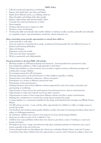- Talk about personal experiences and feelings
- Express and clarify their own ideas and beliefs
- Speak about difficult events, e.g. bullying, death etc
- Share thoughts and feelings with other people
- Explore relationships with friends/family/others
- Consider the needs and behaviour of others
- Show empathy
- Develop self-esteem and a respect for other
- Develop a sense of belonging
- Develop the skills and attitudes that enable children to develop socially, morally, spiritually and culturally e.g. empathy, respect, open-mindedness, sensitivity, critical awareness, etc.

#### **Many curriculum areas provide opportunities to extend these skills to:**

- Listen and talk to each other
- Learn an awareness of treating all as equals, accepting and loving people who are different because of physical and learning difficulties.
- Agree and disagree
- Experience good role models
- Take turns and share equipment
- Work co-operatively and collaboratively

#### **Practical activities to develop SMSC will include:**

- Working together in different groupings and situations. Learning behaviours promoted in class.
- Encouraging the children to behave appropriately at meal times.
- Taking responsibility e.g. class monitors, door monitors, register monitors, delivering messages and looking after younger children.
- Encouraging teamwork in PE and games.
- Showing appreciation of the performances of other children regardless of ability.
- Hearing music from different composers, cultures and genres.
- Participation in a variety of different educational visits.
- Participation in live performances.
- Studying literature and art from different cultures supported by visits from writers and artists and participating in workshops.
- Opportunities to hear and see live performances by professional actors, dancers and musicians.
- Opportunities to make and evaluate food from other countries.
- Opportunities in music to learn songs from different cultures and play a range of instruments.
- Studying the contributions to society that certain famous people have made.
- Coming together as a community regularly for Key Stage and individual class Liturgies and Whole School Masses.
- Our RE scheme of work Come and See offers opportunities for children to reflect on bigger issues in society/the world.
- Our feedback and marking system guides children on their next steps for learning and allows them time to reflect on challenging questions.
- At Christmas, children raise money to buy presents for local, disadvantaged children
- Each year we collect money for St. Cuthbert's Care.
- Children have responsibilities within their own classes to give them a sense of working as a team and having ownership.
- Throughout the year, a range of productions take place including nativities at Christmas and a year 6 leavers assembly at the end of the year.
- Various themed weeks run throughout the school year, including 'British Values' week and 'Creative Curriculum Days where children have the opportunity to come to school dressed according to their year